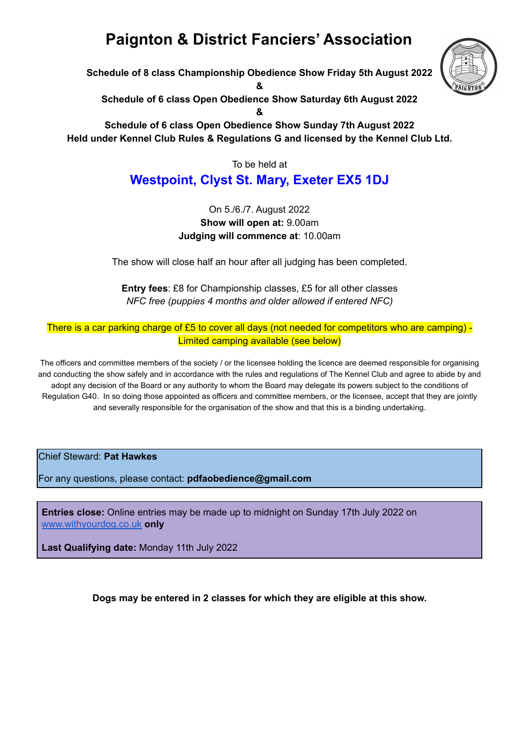# **Paignton & District Fanciers' Association**

**Schedule of 8 class Championship Obedience Show Friday 5th August 2022**

**&**

**Schedule of 6 class Open Obedience Show Saturday 6th August 2022**

**&**

**Schedule of 6 class Open Obedience Show Sunday 7th August 2022 Held under Kennel Club Rules & Regulations G and licensed by the Kennel Club Ltd.**

To be held at

# **Westpoint, Clyst St. Mary, Exeter EX5 1DJ**

#### On 5./6./7. August 2022 **Show will open at:** 9.00am **Judging will commence at**: 10.00am

The show will close half an hour after all judging has been completed.

**Entry fees**: £8 for Championship classes, £5 for all other classes *NFC free (puppies 4 months and older allowed if entered NFC)*

There is a car parking charge of £5 to cover all days (not needed for competitors who are camping) -Limited camping available (see below)

The officers and committee members of the society / or the licensee holding the licence are deemed responsible for organising and conducting the show safely and in accordance with the rules and regulations of The Kennel Club and agree to abide by and adopt any decision of the Board or any authority to whom the Board may delegate its powers subject to the conditions of Regulation G40. In so doing those appointed as officers and committee members, or the licensee, accept that they are jointly and severally responsible for the organisation of the show and that this is a binding undertaking.

Chief Steward: **Pat Hawkes**

For any questions, please contact: **pdfaobedience@gmail.com**

**Entries close:** Online entries may be made up to midnight on Sunday 17th July 2022 on [www.withyourdog.co.uk](http://www.withyourdog.co.uk) **only**

**Last Qualifying date:** Monday 11th July 2022

**Dogs may be entered in 2 classes for which they are eligible at this show.**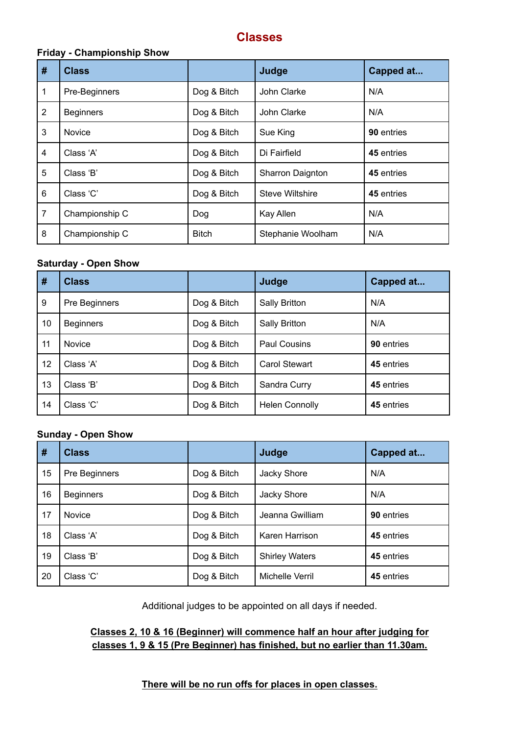### **Classes**

#### **Friday - Championship Show**

| #              | <b>Class</b>     |              | Judge                  | Capped at  |
|----------------|------------------|--------------|------------------------|------------|
| 1              | Pre-Beginners    | Dog & Bitch  | John Clarke            | N/A        |
| $\overline{2}$ | <b>Beginners</b> | Dog & Bitch  | John Clarke            | N/A        |
| 3              | <b>Novice</b>    | Dog & Bitch  | Sue King               | 90 entries |
| 4              | Class 'A'        | Dog & Bitch  | Di Fairfield           | 45 entries |
| 5              | Class 'B'        | Dog & Bitch  | Sharron Daignton       | 45 entries |
| 6              | Class 'C'        | Dog & Bitch  | <b>Steve Wiltshire</b> | 45 entries |
| $\overline{7}$ | Championship C   | Dog          | Kay Allen              | N/A        |
| 8              | Championship C   | <b>Bitch</b> | Stephanie Woolham      | N/A        |

#### **Saturday - Open Show**

| #  | <b>Class</b>     |             | Judge                 | Capped at  |
|----|------------------|-------------|-----------------------|------------|
| 9  | Pre Beginners    | Dog & Bitch | Sally Britton         | N/A        |
| 10 | <b>Beginners</b> | Dog & Bitch | <b>Sally Britton</b>  | N/A        |
| 11 | <b>Novice</b>    | Dog & Bitch | <b>Paul Cousins</b>   | 90 entries |
| 12 | Class 'A'        | Dog & Bitch | <b>Carol Stewart</b>  | 45 entries |
| 13 | Class 'B'        | Dog & Bitch | Sandra Curry          | 45 entries |
| 14 | Class 'C'        | Dog & Bitch | <b>Helen Connolly</b> | 45 entries |

#### **Sunday - Open Show**

| #  | <b>Class</b>     |             | Judge                 | Capped at  |
|----|------------------|-------------|-----------------------|------------|
| 15 | Pre Beginners    | Dog & Bitch | Jacky Shore           | N/A        |
| 16 | <b>Beginners</b> | Dog & Bitch | Jacky Shore           | N/A        |
| 17 | <b>Novice</b>    | Dog & Bitch | Jeanna Gwilliam       | 90 entries |
| 18 | Class 'A'        | Dog & Bitch | Karen Harrison        | 45 entries |
| 19 | Class 'B'        | Dog & Bitch | <b>Shirley Waters</b> | 45 entries |
| 20 | Class 'C'        | Dog & Bitch | Michelle Verril       | 45 entries |

Additional judges to be appointed on all days if needed.

#### **Classes 2, 10 & 16 (Beginner) will commence half an hour after judging for classes 1, 9 & 15 (Pre Beginner) has finished, but no earlier than 11.30am.**

#### **There will be no run offs for places in open classes.**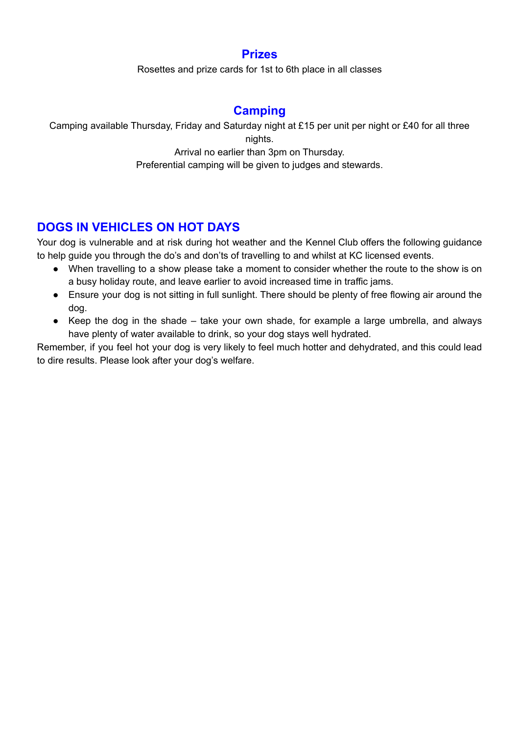### **Prizes**

Rosettes and prize cards for 1st to 6th place in all classes

# **Camping**

Camping available Thursday, Friday and Saturday night at £15 per unit per night or £40 for all three nights.

Arrival no earlier than 3pm on Thursday.

Preferential camping will be given to judges and stewards.

### **DOGS IN VEHICLES ON HOT DAYS**

Your dog is vulnerable and at risk during hot weather and the Kennel Club offers the following guidance to help guide you through the do's and don'ts of travelling to and whilst at KC licensed events.

- When travelling to a show please take a moment to consider whether the route to the show is on a busy holiday route, and leave earlier to avoid increased time in traffic jams.
- Ensure your dog is not sitting in full sunlight. There should be plenty of free flowing air around the dog.
- Keep the dog in the shade take your own shade, for example a large umbrella, and always have plenty of water available to drink, so your dog stays well hydrated.

Remember, if you feel hot your dog is very likely to feel much hotter and dehydrated, and this could lead to dire results. Please look after your dog's welfare.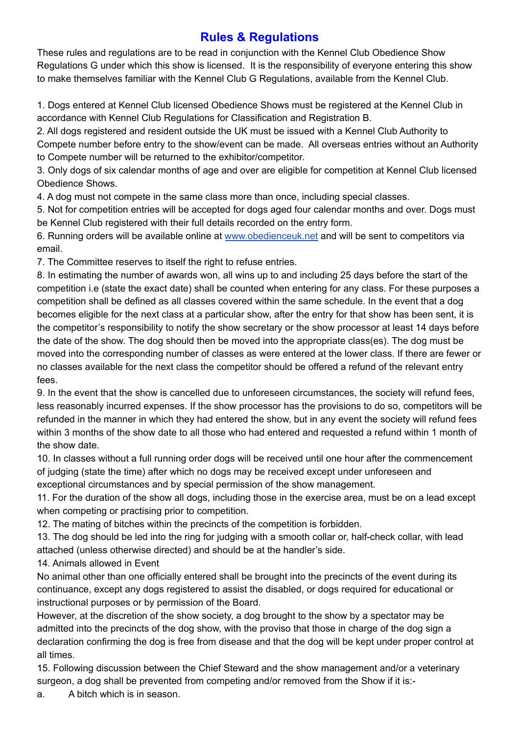# **Rules & Regulations**

These rules and regulations are to be read in conjunction with the Kennel Club Obedience Show Regulations G under which this show is licensed. It is the responsibility of everyone entering this show to make themselves familiar with the Kennel Club G Regulations, available from the Kennel Club.

1. Dogs entered at Kennel Club licensed Obedience Shows must be registered at the Kennel Club in accordance with Kennel Club Regulations for Classification and Registration B.

2. All dogs registered and resident outside the UK must be issued with a Kennel Club Authority to Compete number before entry to the show/event can be made. All overseas entries without an Authority to Compete number will be returned to the exhibitor/competitor.

3. Only dogs of six calendar months of age and over are eligible for competition at Kennel Club licensed Obedience Shows.

4. A dog must not compete in the same class more than once, including special classes.

5. Not for competition entries will be accepted for dogs aged four calendar months and over. Dogs must be Kennel Club registered with their full details recorded on the entry form.

6. Running orders will be available online at [www.obedienceuk.net](http://www.obedienceuk.net) and will be sent to competitors via email.

7. The Committee reserves to itself the right to refuse entries.

8. In estimating the number of awards won, all wins up to and including 25 days before the start of the competition i.e (state the exact date) shall be counted when entering for any class. For these purposes a competition shall be defined as all classes covered within the same schedule. In the event that a dog becomes eligible for the next class at a particular show, after the entry for that show has been sent, it is the competitor's responsibility to notify the show secretary or the show processor at least 14 days before the date of the show. The dog should then be moved into the appropriate class(es). The dog must be moved into the corresponding number of classes as were entered at the lower class. If there are fewer or no classes available for the next class the competitor should be offered a refund of the relevant entry fees.

9. In the event that the show is cancelled due to unforeseen circumstances, the society will refund fees, less reasonably incurred expenses. If the show processor has the provisions to do so, competitors will be refunded in the manner in which they had entered the show, but in any event the society will refund fees within 3 months of the show date to all those who had entered and requested a refund within 1 month of the show date.

10. In classes without a full running order dogs will be received until one hour after the commencement of judging (state the time) after which no dogs may be received except under unforeseen and exceptional circumstances and by special permission of the show management.

11. For the duration of the show all dogs, including those in the exercise area, must be on a lead except when competing or practising prior to competition.

12. The mating of bitches within the precincts of the competition is forbidden.

13. The dog should be led into the ring for judging with a smooth collar or, half-check collar, with lead attached (unless otherwise directed) and should be at the handler's side.

14. Animals allowed in Event

No animal other than one officially entered shall be brought into the precincts of the event during its continuance, except any dogs registered to assist the disabled, or dogs required for educational or instructional purposes or by permission of the Board.

However, at the discretion of the show society, a dog brought to the show by a spectator may be admitted into the precincts of the dog show, with the proviso that those in charge of the dog sign a declaration confirming the dog is free from disease and that the dog will be kept under proper control at all times.

15. Following discussion between the Chief Steward and the show management and/or a veterinary surgeon, a dog shall be prevented from competing and/or removed from the Show if it is:-

a. A bitch which is in season.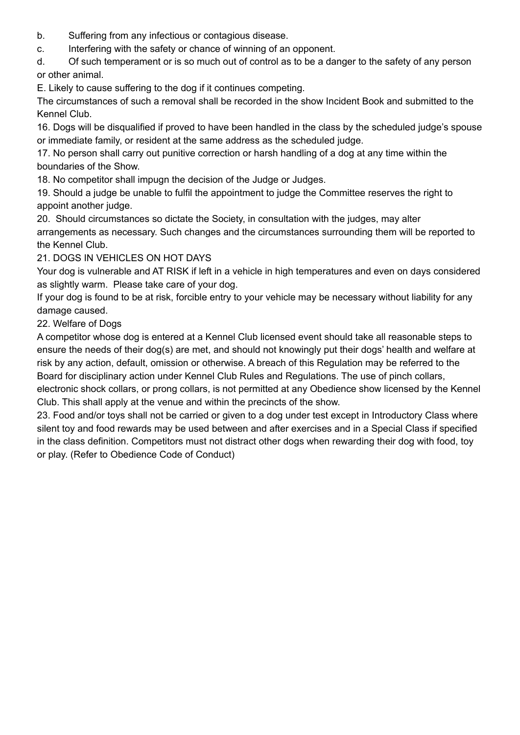- b. Suffering from any infectious or contagious disease.
- c. Interfering with the safety or chance of winning of an opponent.

d. Of such temperament or is so much out of control as to be a danger to the safety of any person or other animal.

E. Likely to cause suffering to the dog if it continues competing.

The circumstances of such a removal shall be recorded in the show Incident Book and submitted to the Kennel Club.

16. Dogs will be disqualified if proved to have been handled in the class by the scheduled judge's spouse or immediate family, or resident at the same address as the scheduled judge.

17. No person shall carry out punitive correction or harsh handling of a dog at any time within the boundaries of the Show.

18. No competitor shall impugn the decision of the Judge or Judges.

19. Should a judge be unable to fulfil the appointment to judge the Committee reserves the right to appoint another judge.

20. Should circumstances so dictate the Society, in consultation with the judges, may alter arrangements as necessary. Such changes and the circumstances surrounding them will be reported to the Kennel Club.

#### 21. DOGS IN VEHICLES ON HOT DAYS

Your dog is vulnerable and AT RISK if left in a vehicle in high temperatures and even on days considered as slightly warm. Please take care of your dog.

If your dog is found to be at risk, forcible entry to your vehicle may be necessary without liability for any damage caused.

22. Welfare of Dogs

A competitor whose dog is entered at a Kennel Club licensed event should take all reasonable steps to ensure the needs of their dog(s) are met, and should not knowingly put their dogs' health and welfare at risk by any action, default, omission or otherwise. A breach of this Regulation may be referred to the Board for disciplinary action under Kennel Club Rules and Regulations. The use of pinch collars,

electronic shock collars, or prong collars, is not permitted at any Obedience show licensed by the Kennel Club. This shall apply at the venue and within the precincts of the show.

23. Food and/or toys shall not be carried or given to a dog under test except in Introductory Class where silent toy and food rewards may be used between and after exercises and in a Special Class if specified in the class definition. Competitors must not distract other dogs when rewarding their dog with food, toy or play. (Refer to Obedience Code of Conduct)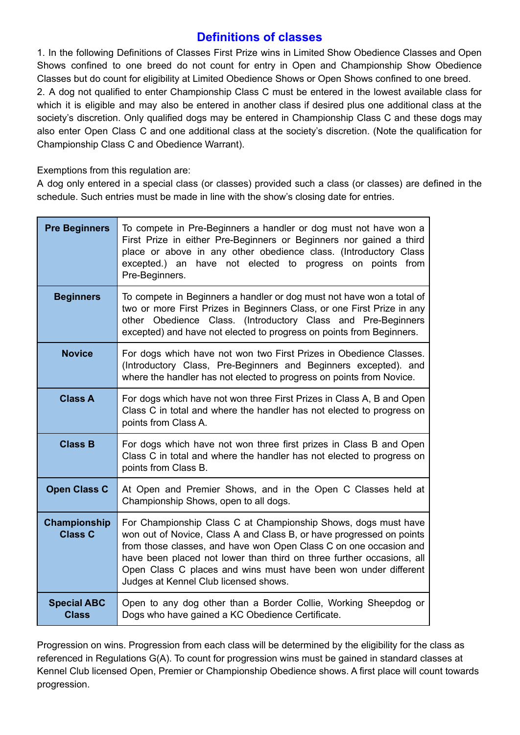### **Definitions of classes**

1. In the following Definitions of Classes First Prize wins in Limited Show Obedience Classes and Open Shows confined to one breed do not count for entry in Open and Championship Show Obedience Classes but do count for eligibility at Limited Obedience Shows or Open Shows confined to one breed.

2. A dog not qualified to enter Championship Class C must be entered in the lowest available class for which it is eligible and may also be entered in another class if desired plus one additional class at the society's discretion. Only qualified dogs may be entered in Championship Class C and these dogs may also enter Open Class C and one additional class at the society's discretion. (Note the qualification for Championship Class C and Obedience Warrant).

Exemptions from this regulation are:

A dog only entered in a special class (or classes) provided such a class (or classes) are defined in the schedule. Such entries must be made in line with the show's closing date for entries.

| <b>Pre Beginners</b>                  | To compete in Pre-Beginners a handler or dog must not have won a<br>First Prize in either Pre-Beginners or Beginners nor gained a third<br>place or above in any other obedience class. (Introductory Class<br>excepted.) an have not elected to progress on points from<br>Pre-Beginners.                                                                                                       |
|---------------------------------------|--------------------------------------------------------------------------------------------------------------------------------------------------------------------------------------------------------------------------------------------------------------------------------------------------------------------------------------------------------------------------------------------------|
| <b>Beginners</b>                      | To compete in Beginners a handler or dog must not have won a total of<br>two or more First Prizes in Beginners Class, or one First Prize in any<br>other Obedience Class. (Introductory Class and Pre-Beginners<br>excepted) and have not elected to progress on points from Beginners.                                                                                                          |
| <b>Novice</b>                         | For dogs which have not won two First Prizes in Obedience Classes.<br>(Introductory Class, Pre-Beginners and Beginners excepted). and<br>where the handler has not elected to progress on points from Novice.                                                                                                                                                                                    |
| <b>Class A</b>                        | For dogs which have not won three First Prizes in Class A, B and Open<br>Class C in total and where the handler has not elected to progress on<br>points from Class A.                                                                                                                                                                                                                           |
| <b>Class B</b>                        | For dogs which have not won three first prizes in Class B and Open<br>Class C in total and where the handler has not elected to progress on<br>points from Class B.                                                                                                                                                                                                                              |
| <b>Open Class C</b>                   | At Open and Premier Shows, and in the Open C Classes held at<br>Championship Shows, open to all dogs.                                                                                                                                                                                                                                                                                            |
| <b>Championship</b><br><b>Class C</b> | For Championship Class C at Championship Shows, dogs must have<br>won out of Novice, Class A and Class B, or have progressed on points<br>from those classes, and have won Open Class C on one occasion and<br>have been placed not lower than third on three further occasions, all<br>Open Class C places and wins must have been won under different<br>Judges at Kennel Club licensed shows. |
| <b>Special ABC</b><br><b>Class</b>    | Open to any dog other than a Border Collie, Working Sheepdog or<br>Dogs who have gained a KC Obedience Certificate.                                                                                                                                                                                                                                                                              |

Progression on wins. Progression from each class will be determined by the eligibility for the class as referenced in Regulations G(A). To count for progression wins must be gained in standard classes at Kennel Club licensed Open, Premier or Championship Obedience shows. A first place will count towards progression.